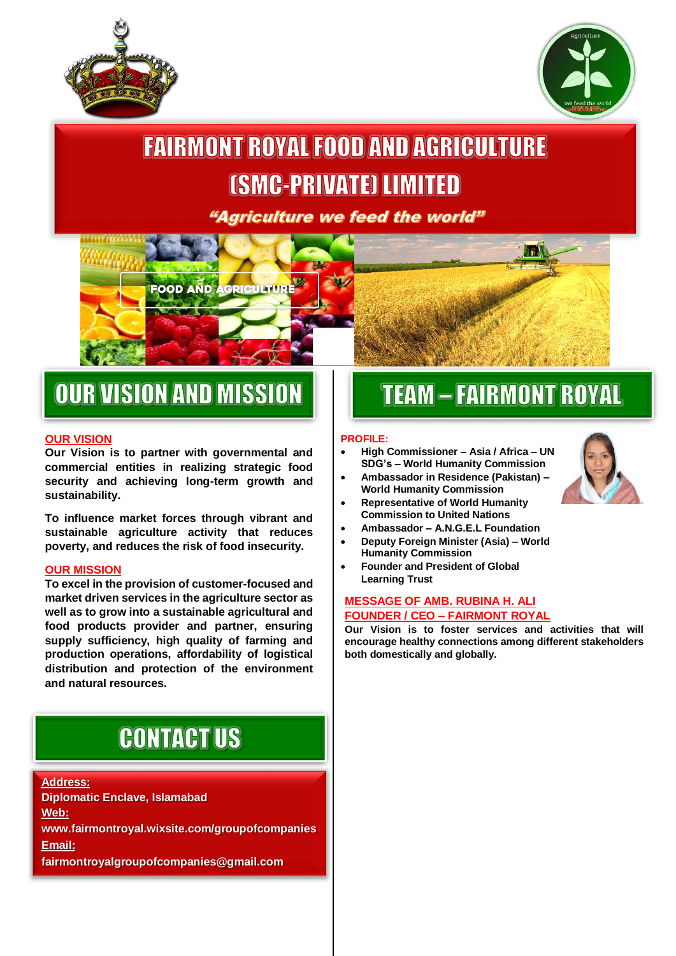



## **FAIRMONT ROYAL FOOD AND AGRICULTURE** *(SMC-PRIVATE) LIMITED*

"Agriculture we feed the world"

# **FOOD AND AGRICULTU**

## **OUR VISION AND MISSION**

#### **OUR VISION**

l

**Our Vision is to partner with governmental and commercial entities in realizing strategic food security and achieving long-term growth and sustainability.** 

Ī

**To influence market forces through vibrant and sustainable agriculture activity that reduces poverty, and reduces the risk of food insecurity.**

#### **OUR MISSION**

**To excel in the provision of customer-focused and market driven services in the agriculture sector as well as to grow into a sustainable agricultural and food products provider and partner, ensuring supply sufficiency, high quality of farming and production operations, affordability of logistical distribution and protection of the environment and natural resources.**

## **CONTACT US**

#### **Address:**

**Diplomatic Enclave, Islamabad Web: www.fairmontroyal.wixsite.com/groupofcompanies Email: fairmontroyalgroupofcompanies@gmail.com**

## **TEAM - FAIRMONT ROYAL**

#### **PROFILE:**

- **High Commissioner – Asia / Africa – UN SDG's – World Humanity Commission**
- **Ambassador in Residence (Pakistan) – World Humanity Commission**
- **Representative of World Humanity Commission to United Nations**
- **Ambassador – A.N.G.E.L Foundation**
- **Deputy Foreign Minister (Asia) – World Humanity Commission**
- **Founder and President of Global Learning Trust**

#### **MESSAGE OF AMB. RUBINA H. ALI FOUNDER / CEO – FAIRMONT ROYAL**

**Our Vision is to foster services and activities that will encourage healthy connections among different stakeholders both domestically and globally.**